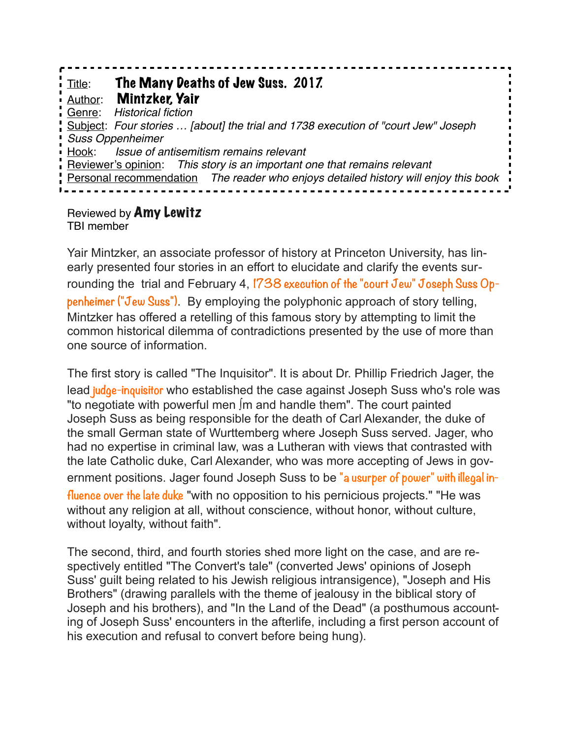Title: The Many Deaths of Jew Suss. 2017. Author: Mintzker, Yair Genre: *Historical fiction* Subject: *Four stories … [about] the trial and 1738 execution of "court Jew" Joseph Suss Oppenheimer* Hook: *Issue of antisemitism remains relevant* Reviewer's opinion: *This story is an important one that remains relevant*  Personal recommendation *The reader who enjoys detailed history will enjoy this book*

Reviewed by Amy Lewitz TBI member

Yair Mintzker, an associate professor of history at Princeton University, has linearly presented four stories in an effort to elucidate and clarify the events surrounding the trial and February 4, **1738 execution of the "court Jew" Joseph Suss Oppenheimer ("Jew Suss")**. By employing the polyphonic approach of story telling, Mintzker has offered a retelling of this famous story by attempting to limit the common historical dilemma of contradictions presented by the use of more than one source of information.

The first story is called "The Inquisitor". It is about Dr. Phillip Friedrich Jager, the lead **judge-inquisitor** who established the case against Joseph Suss who's role was "to negotiate with powerful men ∫m and handle them". The court painted Joseph Suss as being responsible for the death of Carl Alexander, the duke of the small German state of Wurttemberg where Joseph Suss served. Jager, who had no expertise in criminal law, was a Lutheran with views that contrasted with the late Catholic duke, Carl Alexander, who was more accepting of Jews in government positions. Jager found Joseph Suss to be **"a usurper of power" with illegal influence over the late duke** "with no opposition to his pernicious projects." "He was without any religion at all, without conscience, without honor, without culture, without loyalty, without faith".

The second, third, and fourth stories shed more light on the case, and are respectively entitled "The Convert's tale" (converted Jews' opinions of Joseph Suss' guilt being related to his Jewish religious intransigence), "Joseph and His Brothers" (drawing parallels with the theme of jealousy in the biblical story of Joseph and his brothers), and "In the Land of the Dead" (a posthumous accounting of Joseph Suss' encounters in the afterlife, including a first person account of his execution and refusal to convert before being hung).